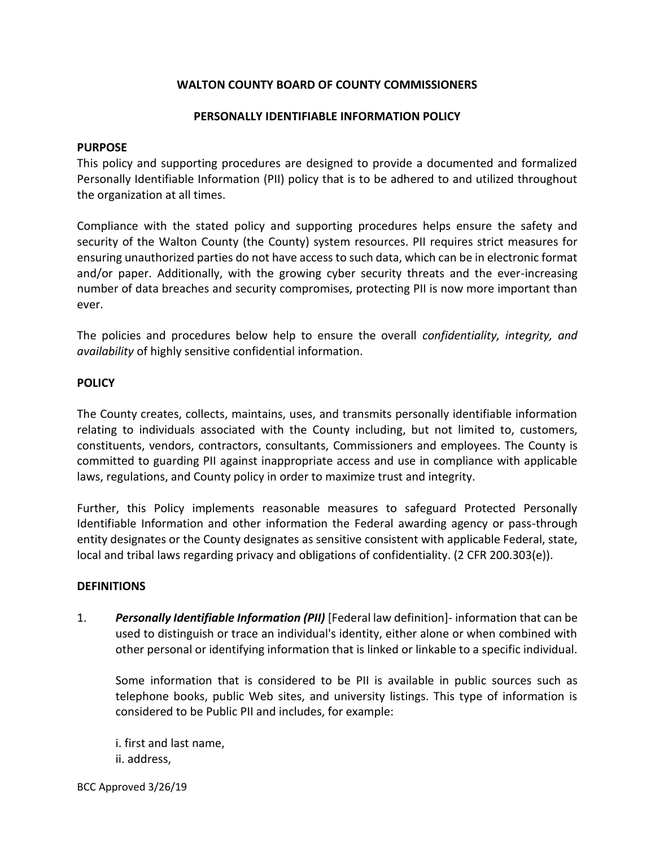### **WALTON COUNTY BOARD OF COUNTY COMMISSIONERS**

#### **PERSONALLY IDENTIFIABLE INFORMATION POLICY**

#### **PURPOSE**

This policy and supporting procedures are designed to provide a documented and formalized Personally Identifiable Information (PII) policy that is to be adhered to and utilized throughout the organization at all times.

Compliance with the stated policy and supporting procedures helps ensure the safety and security of the Walton County (the County) system resources. PII requires strict measures for ensuring unauthorized parties do not have access to such data, which can be in electronic format and/or paper. Additionally, with the growing cyber security threats and the ever-increasing number of data breaches and security compromises, protecting PII is now more important than ever.

The policies and procedures below help to ensure the overall *confidentiality, integrity, and availability* of highly sensitive confidential information.

#### **POLICY**

The County creates, collects, maintains, uses, and transmits personally identifiable information relating to individuals associated with the County including, but not limited to, customers, constituents, vendors, contractors, consultants, Commissioners and employees. The County is committed to guarding PII against inappropriate access and use in compliance with applicable laws, regulations, and County policy in order to maximize trust and integrity.

Further, this Policy implements reasonable measures to safeguard Protected Personally Identifiable Information and other information the Federal awarding agency or pass-through entity designates or the County designates as sensitive consistent with applicable Federal, state, local and tribal laws regarding privacy and obligations of confidentiality. (2 CFR 200.303(e)).

#### **DEFINITIONS**

1. *Personally Identifiable Information (PII)* [Federal law definition]- information that can be used to distinguish or trace an individual's identity, either alone or when combined with other personal or identifying information that is linked or linkable to a specific individual.

Some information that is considered to be PII is available in public sources such as telephone books, public Web sites, and university listings. This type of information is considered to be Public PII and includes, for example:

i. first and last name, ii. address,

BCC Approved 3/26/19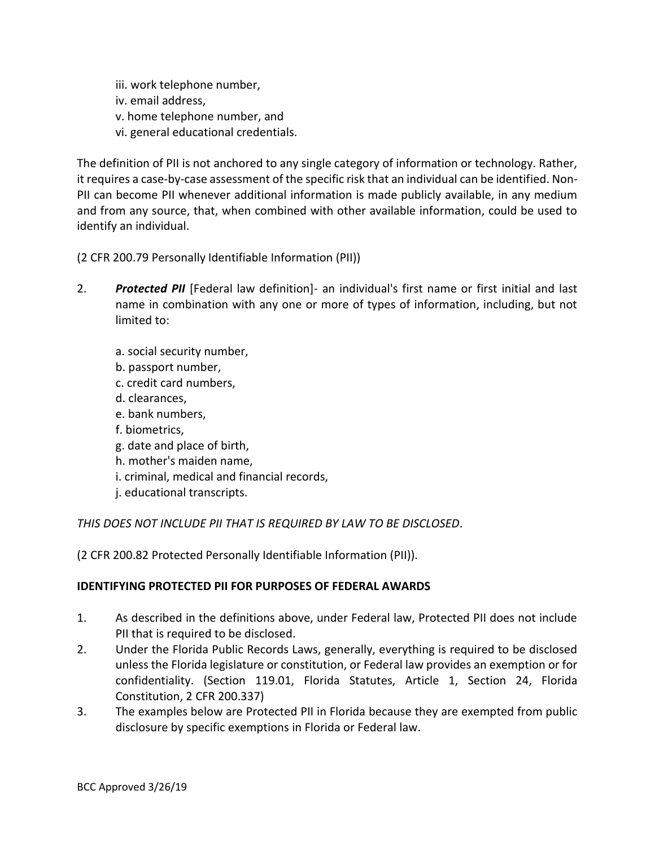iii. work telephone number, iv. email address, v. home telephone number, and vi. general educational credentials.

The definition of PII is not anchored to any single category of information or technology. Rather, it requires a case-by-case assessment of the specific risk that an individual can be identified. Non-PII can become PII whenever additional information is made publicly available, in any medium and from any source, that, when combined with other available information, could be used to identify an individual.

(2 CFR 200.79 Personally Identifiable Information (PII))

- 2. *Protected PII* [Federal law definition]- an individual's first name or first initial and last name in combination with any one or more of types of information, including, but not limited to:
	- a. social security number,
	- b. passport number,
	- c. credit card numbers,
	- d. clearances,
	- e. bank numbers,
	- f. biometrics,
	- g. date and place of birth,
	- h. mother's maiden name,
	- i. criminal, medical and financial records,
	- j. educational transcripts.

# *THIS DOES NOT INCLUDE PII THAT IS REQUIRED BY LAW TO BE DISCLOSED*.

(2 CFR 200.82 Protected Personally Identifiable Information (PII)).

## **IDENTIFYING PROTECTED PII FOR PURPOSES OF FEDERAL AWARDS**

- 1. As described in the definitions above, under Federal law, Protected PII does not include PII that is required to be disclosed.
- 2. Under the Florida Public Records Laws, generally, everything is required to be disclosed unless the Florida legislature or constitution, or Federal law provides an exemption or for confidentiality. (Section 119.01, Florida Statutes, Article 1, Section 24, Florida Constitution, 2 CFR 200.337)
- 3. The examples below are Protected PII in Florida because they are exempted from public disclosure by specific exemptions in Florida or Federal law.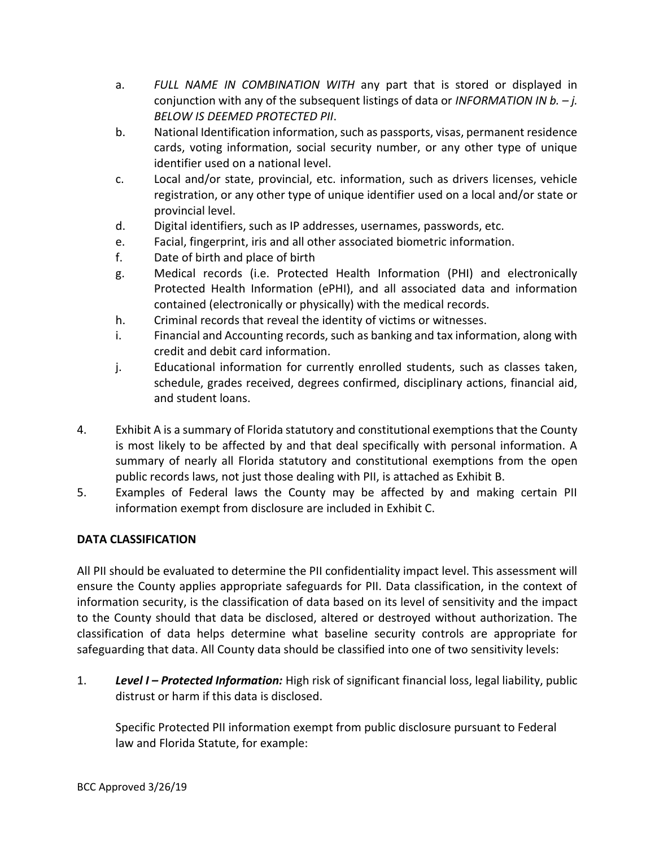- a. *FULL NAME IN COMBINATION WITH* any part that is stored or displayed in conjunction with any of the subsequent listings of data or *INFORMATION IN b. – j. BELOW IS DEEMED PROTECTED PII*.
- b. National Identification information, such as passports, visas, permanent residence cards, voting information, social security number, or any other type of unique identifier used on a national level.
- c. Local and/or state, provincial, etc. information, such as drivers licenses, vehicle registration, or any other type of unique identifier used on a local and/or state or provincial level.
- d. Digital identifiers, such as IP addresses, usernames, passwords, etc.
- e. Facial, fingerprint, iris and all other associated biometric information.
- f. Date of birth and place of birth
- g. Medical records (i.e. Protected Health Information (PHI) and electronically Protected Health Information (ePHI), and all associated data and information contained (electronically or physically) with the medical records.
- h. Criminal records that reveal the identity of victims or witnesses.
- i. Financial and Accounting records, such as banking and tax information, along with credit and debit card information.
- j. Educational information for currently enrolled students, such as classes taken, schedule, grades received, degrees confirmed, disciplinary actions, financial aid, and student loans.
- 4. Exhibit A is a summary of Florida statutory and constitutional exemptions that the County is most likely to be affected by and that deal specifically with personal information. A summary of nearly all Florida statutory and constitutional exemptions from the open public records laws, not just those dealing with PII, is attached as Exhibit B.
- 5. Examples of Federal laws the County may be affected by and making certain PII information exempt from disclosure are included in Exhibit C.

## **DATA CLASSIFICATION**

All PII should be evaluated to determine the PII confidentiality impact level. This assessment will ensure the County applies appropriate safeguards for PII. Data classification, in the context of information security, is the classification of data based on its level of sensitivity and the impact to the County should that data be disclosed, altered or destroyed without authorization. The classification of data helps determine what baseline security controls are appropriate for safeguarding that data. All County data should be classified into one of two sensitivity levels:

1. *Level I – Protected Information:* High risk of significant financial loss, legal liability, public distrust or harm if this data is disclosed.

Specific Protected PII information exempt from public disclosure pursuant to Federal law and Florida Statute, for example: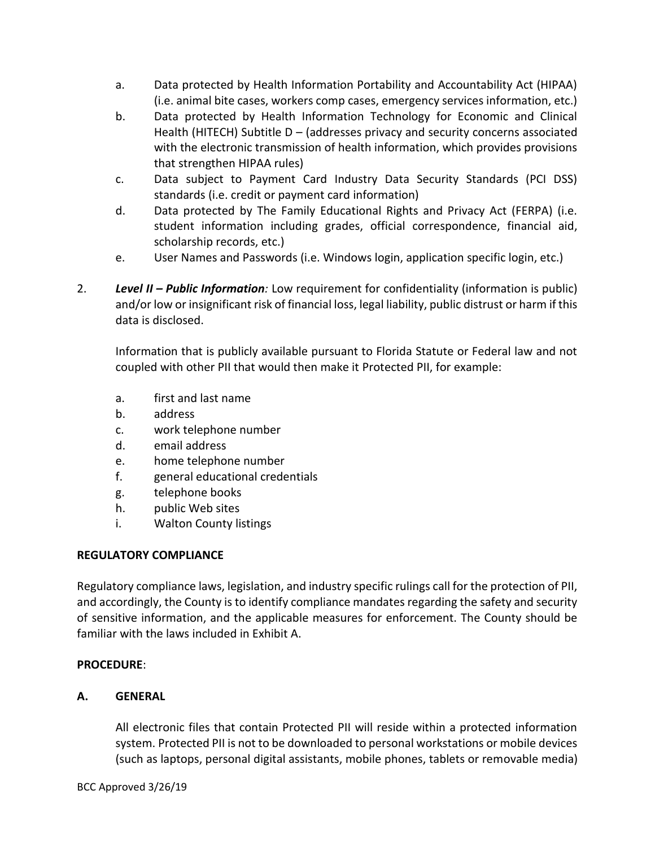- a. Data protected by Health Information Portability and Accountability Act (HIPAA) (i.e. animal bite cases, workers comp cases, emergency services information, etc.)
- b. Data protected by Health Information Technology for Economic and Clinical Health (HITECH) Subtitle D – (addresses privacy and security concerns associated with the electronic transmission of health information, which provides provisions that strengthen HIPAA rules)
- c. Data subject to Payment Card Industry Data Security Standards (PCI DSS) standards (i.e. credit or payment card information)
- d. Data protected by The Family Educational Rights and Privacy Act (FERPA) (i.e. student information including grades, official correspondence, financial aid, scholarship records, etc.)
- e. User Names and Passwords (i.e. Windows login, application specific login, etc.)
- 2. *Level II – Public Information:* Low requirement for confidentiality (information is public) and/or low or insignificant risk of financial loss, legal liability, public distrust or harm if this data is disclosed.

Information that is publicly available pursuant to Florida Statute or Federal law and not coupled with other PII that would then make it Protected PII, for example:

- a. first and last name
- b. address
- c. work telephone number
- d. email address
- e. home telephone number
- f. general educational credentials
- g. telephone books
- h. public Web sites
- i. Walton County listings

## **REGULATORY COMPLIANCE**

Regulatory compliance laws, legislation, and industry specific rulings call for the protection of PII, and accordingly, the County is to identify compliance mandates regarding the safety and security of sensitive information, and the applicable measures for enforcement. The County should be familiar with the laws included in Exhibit A.

## **PROCEDURE**:

## **A. GENERAL**

All electronic files that contain Protected PII will reside within a protected information system. Protected PII is not to be downloaded to personal workstations or mobile devices (such as laptops, personal digital assistants, mobile phones, tablets or removable media)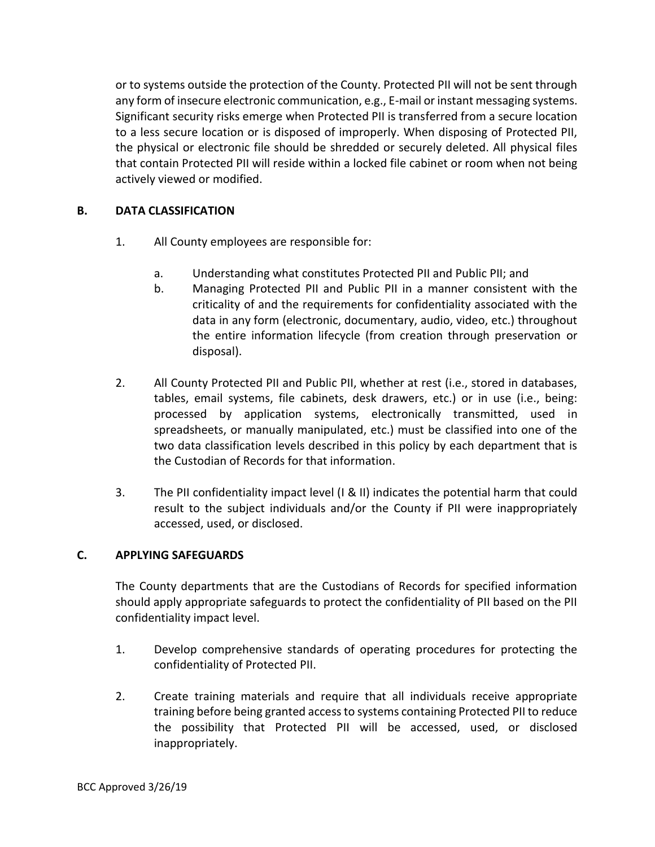or to systems outside the protection of the County. Protected PII will not be sent through any form of insecure electronic communication, e.g., E-mail or instant messaging systems. Significant security risks emerge when Protected PII is transferred from a secure location to a less secure location or is disposed of improperly. When disposing of Protected PII, the physical or electronic file should be shredded or securely deleted. All physical files that contain Protected PII will reside within a locked file cabinet or room when not being actively viewed or modified.

## **B. DATA CLASSIFICATION**

- 1. All County employees are responsible for:
	- a. Understanding what constitutes Protected PII and Public PII; and
	- b. Managing Protected PII and Public PII in a manner consistent with the criticality of and the requirements for confidentiality associated with the data in any form (electronic, documentary, audio, video, etc.) throughout the entire information lifecycle (from creation through preservation or disposal).
- 2. All County Protected PII and Public PII, whether at rest (i.e., stored in databases, tables, email systems, file cabinets, desk drawers, etc.) or in use (i.e., being: processed by application systems, electronically transmitted, used in spreadsheets, or manually manipulated, etc.) must be classified into one of the two data classification levels described in this policy by each department that is the Custodian of Records for that information.
- 3. The PII confidentiality impact level (I & II) indicates the potential harm that could result to the subject individuals and/or the County if PII were inappropriately accessed, used, or disclosed.

#### **C. APPLYING SAFEGUARDS**

The County departments that are the Custodians of Records for specified information should apply appropriate safeguards to protect the confidentiality of PII based on the PII confidentiality impact level.

- 1. Develop comprehensive standards of operating procedures for protecting the confidentiality of Protected PII.
- 2. Create training materials and require that all individuals receive appropriate training before being granted access to systems containing Protected PII to reduce the possibility that Protected PII will be accessed, used, or disclosed inappropriately.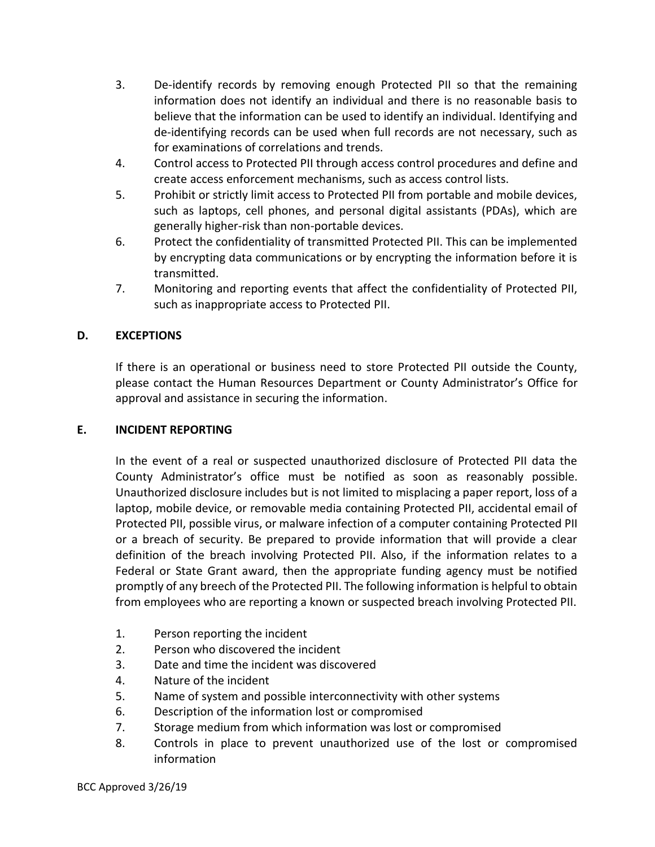- 3. De-identify records by removing enough Protected PII so that the remaining information does not identify an individual and there is no reasonable basis to believe that the information can be used to identify an individual. Identifying and de-identifying records can be used when full records are not necessary, such as for examinations of correlations and trends.
- 4. Control access to Protected PII through access control procedures and define and create access enforcement mechanisms, such as access control lists.
- 5. Prohibit or strictly limit access to Protected PII from portable and mobile devices, such as laptops, cell phones, and personal digital assistants (PDAs), which are generally higher-risk than non-portable devices.
- 6. Protect the confidentiality of transmitted Protected PII. This can be implemented by encrypting data communications or by encrypting the information before it is transmitted.
- 7. Monitoring and reporting events that affect the confidentiality of Protected PII, such as inappropriate access to Protected PII.

# **D. EXCEPTIONS**

If there is an operational or business need to store Protected PII outside the County, please contact the Human Resources Department or County Administrator's Office for approval and assistance in securing the information.

### **E. INCIDENT REPORTING**

In the event of a real or suspected unauthorized disclosure of Protected PII data the County Administrator's office must be notified as soon as reasonably possible. Unauthorized disclosure includes but is not limited to misplacing a paper report, loss of a laptop, mobile device, or removable media containing Protected PII, accidental email of Protected PII, possible virus, or malware infection of a computer containing Protected PII or a breach of security. Be prepared to provide information that will provide a clear definition of the breach involving Protected PII. Also, if the information relates to a Federal or State Grant award, then the appropriate funding agency must be notified promptly of any breech of the Protected PII. The following information is helpful to obtain from employees who are reporting a known or suspected breach involving Protected PII.

- 1. Person reporting the incident
- 2. Person who discovered the incident
- 3. Date and time the incident was discovered
- 4. Nature of the incident
- 5. Name of system and possible interconnectivity with other systems
- 6. Description of the information lost or compromised
- 7. Storage medium from which information was lost or compromised
- 8. Controls in place to prevent unauthorized use of the lost or compromised information